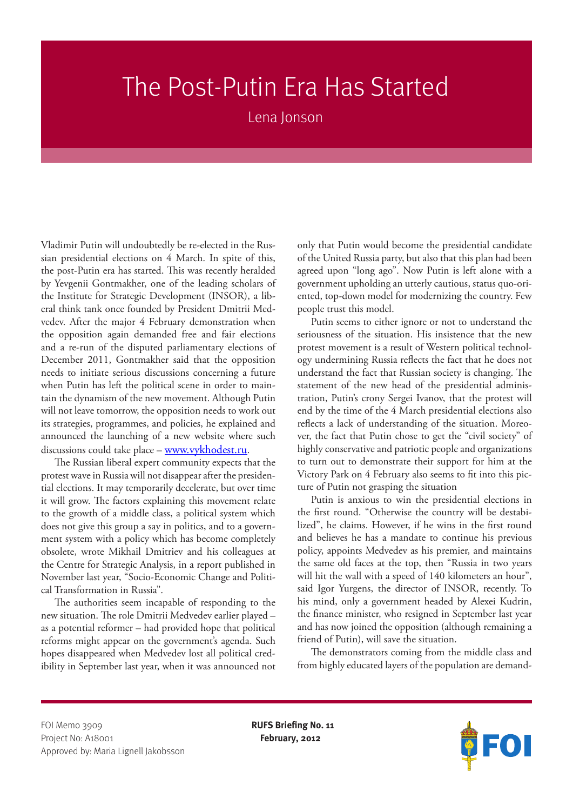## The Post-Putin Era Has Started

Lena Jonson

Vladimir Putin will undoubtedly be re-elected in the Russian presidential elections on 4 March. In spite of this, the post-Putin era has started. This was recently heralded by Yevgenii Gontmakher, one of the leading scholars of the Institute for Strategic Development (INSOR), a liberal think tank once founded by President Dmitrii Medvedev. After the major 4 February demonstration when the opposition again demanded free and fair elections and a re-run of the disputed parliamentary elections of December 2011, Gontmakher said that the opposition needs to initiate serious discussions concerning a future when Putin has left the political scene in order to maintain the dynamism of the new movement. Although Putin will not leave tomorrow, the opposition needs to work out its strategies, programmes, and policies, he explained and announced the launching of a new website where such discussions could take place – www.vykhodest.ru.

The Russian liberal expert community expects that the protest wave in Russia will not disappear after the presidential elections. It may temporarily decelerate, but over time it will grow. The factors explaining this movement relate to the growth of a middle class, a political system which does not give this group a say in politics, and to a government system with a policy which has become completely obsolete, wrote Mikhail Dmitriev and his colleagues at the Centre for Strategic Analysis, in a report published in November last year, "Socio-Economic Change and Political Transformation in Russia".

The authorities seem incapable of responding to the new situation. The role Dmitrii Medvedev earlier played – as a potential reformer – had provided hope that political reforms might appear on the government's agenda. Such hopes disappeared when Medvedev lost all political credibility in September last year, when it was announced not only that Putin would become the presidential candidate of the United Russia party, but also that this plan had been agreed upon "long ago". Now Putin is left alone with a government upholding an utterly cautious, status quo-oriented, top-down model for modernizing the country. Few people trust this model.

Putin seems to either ignore or not to understand the seriousness of the situation. His insistence that the new protest movement is a result of Western political technology undermining Russia reflects the fact that he does not understand the fact that Russian society is changing. The statement of the new head of the presidential administration, Putin's crony Sergei Ivanov, that the protest will end by the time of the 4 March presidential elections also reflects a lack of understanding of the situation. Moreover, the fact that Putin chose to get the "civil society" of highly conservative and patriotic people and organizations to turn out to demonstrate their support for him at the Victory Park on 4 February also seems to fit into this picture of Putin not grasping the situation

Putin is anxious to win the presidential elections in the first round. "Otherwise the country will be destabilized", he claims. However, if he wins in the first round and believes he has a mandate to continue his previous policy, appoints Medvedev as his premier, and maintains the same old faces at the top, then "Russia in two years will hit the wall with a speed of 140 kilometers an hour", said Igor Yurgens, the director of INSOR, recently. To his mind, only a government headed by Alexei Kudrin, the finance minister, who resigned in September last year and has now joined the opposition (although remaining a friend of Putin), will save the situation.

The demonstrators coming from the middle class and from highly educated layers of the population are demand-

FOI Memo 3909 **RUFS Briefing No. 11** Project No: A18001 **February, 2012** Approved by: Maria Lignell Jakobsson